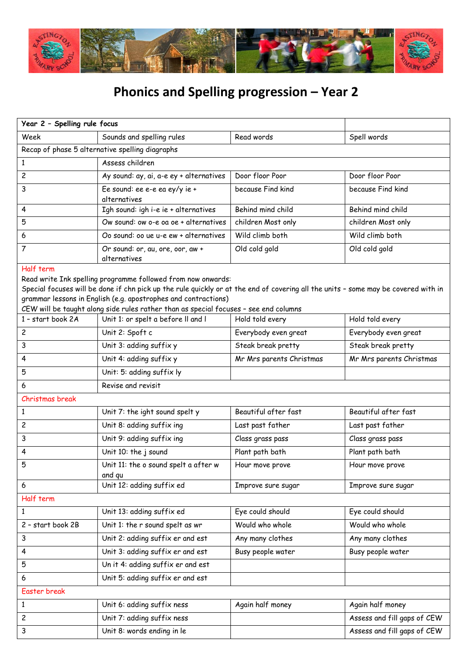

## **Phonics and Spelling progression – Year 2**

| Week<br>Sounds and spelling rules<br>Read words<br>Spell words<br>Recap of phase 5 alternative spelling diagraphs<br>Assess children<br>1<br>$\overline{\mathbf{c}}$<br>Door floor Poor<br>Door floor Poor<br>Ay sound: ay, ai, a-e ey + alternatives<br>3<br>Ee sound: ee e-e ea ey/y ie +<br>because Find kind<br>because Find kind<br>alternatives<br>Behind mind child<br>Behind mind child<br>Igh sound: igh i-e ie + alternatives<br>4<br>Ow sound: ow o-e oa oe + alternatives<br>children Most only<br>5<br>children Most only<br>Wild climb both<br>Wild climb both<br>Oo sound: oo ue u-e ew + alternatives<br>6<br>7<br>Old cold gold<br>Old cold gold<br>Or sound: or, au, ore, oor, aw +<br>alternatives<br>Half term<br>Read write Ink spelling programme followed from now onwards:<br>Special focuses will be done if chn pick up the rule quickly or at the end of covering all the units - some may be covered with in<br>grammar lessons in English (e.g. apostrophes and contractions)<br>CEW will be taught along side rules rather than as special focuses - see end columns<br>1 - start book 2A<br>Unit 1: or spelt a before II and I<br>Hold told every<br>Hold told every<br>2<br>Unit 2: Spoft c<br>Everybody even great<br>Everybody even great<br>3<br>Unit 3: adding suffix y<br>Steak break pretty<br>Steak break pretty<br>Unit 4: adding suffix y<br>Mr Mrs parents Christmas<br>Mr Mrs parents Christmas<br>4<br>Unit: 5: adding suffix ly<br>5<br>6<br>Revise and revisit<br>Christmas break<br>Beautiful after fast<br>Unit 7: the ight sound spelt y<br>Beautiful after fast<br>$\mathbf{1}$<br>Unit 8: adding suffix ing<br>2<br>Last past father<br>Last past father<br>3<br>Unit 9: adding suffix ing<br>Class grass pass<br>Class grass pass<br>Unit 10: the j sound<br>Plant path bath<br>Plant path bath<br>4<br>Unit 11: the o sound spelt a after w<br>5<br>Hour move prove<br>Hour move prove<br>and qu<br>Unit 12: adding suffix ed<br>6<br>Improve sure sugar<br>Improve sure sugar<br>Half term<br>Unit 13: adding suffix ed<br>Eye could should<br>Eye could should<br>1<br>Unit 1: the r sound spelt as wr<br>Would who whole<br>Would who whole<br>2 - start book 2B<br>3<br>Unit 2: adding suffix er and est<br>Any many clothes<br>Any many clothes<br>Unit 3: adding suffix er and est<br>4<br>Busy people water<br>Busy people water<br>Un it 4: adding suffix er and est<br>5<br>Unit 5: adding suffix er and est<br>6<br><b>Easter break</b><br>Unit 6: adding suffix ness<br>Again half money<br>Again half money<br>1<br>Unit 7: adding suffix ness<br>Assess and fill gaps of CEW<br>2<br>Unit 8: words ending in le<br>Assess and fill gaps of CEW<br>3 | Year 2 - Spelling rule focus |  |  |  |  |
|-----------------------------------------------------------------------------------------------------------------------------------------------------------------------------------------------------------------------------------------------------------------------------------------------------------------------------------------------------------------------------------------------------------------------------------------------------------------------------------------------------------------------------------------------------------------------------------------------------------------------------------------------------------------------------------------------------------------------------------------------------------------------------------------------------------------------------------------------------------------------------------------------------------------------------------------------------------------------------------------------------------------------------------------------------------------------------------------------------------------------------------------------------------------------------------------------------------------------------------------------------------------------------------------------------------------------------------------------------------------------------------------------------------------------------------------------------------------------------------------------------------------------------------------------------------------------------------------------------------------------------------------------------------------------------------------------------------------------------------------------------------------------------------------------------------------------------------------------------------------------------------------------------------------------------------------------------------------------------------------------------------------------------------------------------------------------------------------------------------------------------------------------------------------------------------------------------------------------------------------------------------------------------------------------------------------------------------------------------------------------------------------------------------------------------------------------------------------------------------------------------------------------------------------------------------------------------------------------------------------------------------------------------------------------------------------------------------------------|------------------------------|--|--|--|--|
|                                                                                                                                                                                                                                                                                                                                                                                                                                                                                                                                                                                                                                                                                                                                                                                                                                                                                                                                                                                                                                                                                                                                                                                                                                                                                                                                                                                                                                                                                                                                                                                                                                                                                                                                                                                                                                                                                                                                                                                                                                                                                                                                                                                                                                                                                                                                                                                                                                                                                                                                                                                                                                                                                                                       |                              |  |  |  |  |
|                                                                                                                                                                                                                                                                                                                                                                                                                                                                                                                                                                                                                                                                                                                                                                                                                                                                                                                                                                                                                                                                                                                                                                                                                                                                                                                                                                                                                                                                                                                                                                                                                                                                                                                                                                                                                                                                                                                                                                                                                                                                                                                                                                                                                                                                                                                                                                                                                                                                                                                                                                                                                                                                                                                       |                              |  |  |  |  |
|                                                                                                                                                                                                                                                                                                                                                                                                                                                                                                                                                                                                                                                                                                                                                                                                                                                                                                                                                                                                                                                                                                                                                                                                                                                                                                                                                                                                                                                                                                                                                                                                                                                                                                                                                                                                                                                                                                                                                                                                                                                                                                                                                                                                                                                                                                                                                                                                                                                                                                                                                                                                                                                                                                                       |                              |  |  |  |  |
|                                                                                                                                                                                                                                                                                                                                                                                                                                                                                                                                                                                                                                                                                                                                                                                                                                                                                                                                                                                                                                                                                                                                                                                                                                                                                                                                                                                                                                                                                                                                                                                                                                                                                                                                                                                                                                                                                                                                                                                                                                                                                                                                                                                                                                                                                                                                                                                                                                                                                                                                                                                                                                                                                                                       |                              |  |  |  |  |
|                                                                                                                                                                                                                                                                                                                                                                                                                                                                                                                                                                                                                                                                                                                                                                                                                                                                                                                                                                                                                                                                                                                                                                                                                                                                                                                                                                                                                                                                                                                                                                                                                                                                                                                                                                                                                                                                                                                                                                                                                                                                                                                                                                                                                                                                                                                                                                                                                                                                                                                                                                                                                                                                                                                       |                              |  |  |  |  |
|                                                                                                                                                                                                                                                                                                                                                                                                                                                                                                                                                                                                                                                                                                                                                                                                                                                                                                                                                                                                                                                                                                                                                                                                                                                                                                                                                                                                                                                                                                                                                                                                                                                                                                                                                                                                                                                                                                                                                                                                                                                                                                                                                                                                                                                                                                                                                                                                                                                                                                                                                                                                                                                                                                                       |                              |  |  |  |  |
|                                                                                                                                                                                                                                                                                                                                                                                                                                                                                                                                                                                                                                                                                                                                                                                                                                                                                                                                                                                                                                                                                                                                                                                                                                                                                                                                                                                                                                                                                                                                                                                                                                                                                                                                                                                                                                                                                                                                                                                                                                                                                                                                                                                                                                                                                                                                                                                                                                                                                                                                                                                                                                                                                                                       |                              |  |  |  |  |
|                                                                                                                                                                                                                                                                                                                                                                                                                                                                                                                                                                                                                                                                                                                                                                                                                                                                                                                                                                                                                                                                                                                                                                                                                                                                                                                                                                                                                                                                                                                                                                                                                                                                                                                                                                                                                                                                                                                                                                                                                                                                                                                                                                                                                                                                                                                                                                                                                                                                                                                                                                                                                                                                                                                       |                              |  |  |  |  |
|                                                                                                                                                                                                                                                                                                                                                                                                                                                                                                                                                                                                                                                                                                                                                                                                                                                                                                                                                                                                                                                                                                                                                                                                                                                                                                                                                                                                                                                                                                                                                                                                                                                                                                                                                                                                                                                                                                                                                                                                                                                                                                                                                                                                                                                                                                                                                                                                                                                                                                                                                                                                                                                                                                                       |                              |  |  |  |  |
|                                                                                                                                                                                                                                                                                                                                                                                                                                                                                                                                                                                                                                                                                                                                                                                                                                                                                                                                                                                                                                                                                                                                                                                                                                                                                                                                                                                                                                                                                                                                                                                                                                                                                                                                                                                                                                                                                                                                                                                                                                                                                                                                                                                                                                                                                                                                                                                                                                                                                                                                                                                                                                                                                                                       |                              |  |  |  |  |
|                                                                                                                                                                                                                                                                                                                                                                                                                                                                                                                                                                                                                                                                                                                                                                                                                                                                                                                                                                                                                                                                                                                                                                                                                                                                                                                                                                                                                                                                                                                                                                                                                                                                                                                                                                                                                                                                                                                                                                                                                                                                                                                                                                                                                                                                                                                                                                                                                                                                                                                                                                                                                                                                                                                       |                              |  |  |  |  |
|                                                                                                                                                                                                                                                                                                                                                                                                                                                                                                                                                                                                                                                                                                                                                                                                                                                                                                                                                                                                                                                                                                                                                                                                                                                                                                                                                                                                                                                                                                                                                                                                                                                                                                                                                                                                                                                                                                                                                                                                                                                                                                                                                                                                                                                                                                                                                                                                                                                                                                                                                                                                                                                                                                                       |                              |  |  |  |  |
|                                                                                                                                                                                                                                                                                                                                                                                                                                                                                                                                                                                                                                                                                                                                                                                                                                                                                                                                                                                                                                                                                                                                                                                                                                                                                                                                                                                                                                                                                                                                                                                                                                                                                                                                                                                                                                                                                                                                                                                                                                                                                                                                                                                                                                                                                                                                                                                                                                                                                                                                                                                                                                                                                                                       |                              |  |  |  |  |
|                                                                                                                                                                                                                                                                                                                                                                                                                                                                                                                                                                                                                                                                                                                                                                                                                                                                                                                                                                                                                                                                                                                                                                                                                                                                                                                                                                                                                                                                                                                                                                                                                                                                                                                                                                                                                                                                                                                                                                                                                                                                                                                                                                                                                                                                                                                                                                                                                                                                                                                                                                                                                                                                                                                       |                              |  |  |  |  |
|                                                                                                                                                                                                                                                                                                                                                                                                                                                                                                                                                                                                                                                                                                                                                                                                                                                                                                                                                                                                                                                                                                                                                                                                                                                                                                                                                                                                                                                                                                                                                                                                                                                                                                                                                                                                                                                                                                                                                                                                                                                                                                                                                                                                                                                                                                                                                                                                                                                                                                                                                                                                                                                                                                                       |                              |  |  |  |  |
|                                                                                                                                                                                                                                                                                                                                                                                                                                                                                                                                                                                                                                                                                                                                                                                                                                                                                                                                                                                                                                                                                                                                                                                                                                                                                                                                                                                                                                                                                                                                                                                                                                                                                                                                                                                                                                                                                                                                                                                                                                                                                                                                                                                                                                                                                                                                                                                                                                                                                                                                                                                                                                                                                                                       |                              |  |  |  |  |
|                                                                                                                                                                                                                                                                                                                                                                                                                                                                                                                                                                                                                                                                                                                                                                                                                                                                                                                                                                                                                                                                                                                                                                                                                                                                                                                                                                                                                                                                                                                                                                                                                                                                                                                                                                                                                                                                                                                                                                                                                                                                                                                                                                                                                                                                                                                                                                                                                                                                                                                                                                                                                                                                                                                       |                              |  |  |  |  |
|                                                                                                                                                                                                                                                                                                                                                                                                                                                                                                                                                                                                                                                                                                                                                                                                                                                                                                                                                                                                                                                                                                                                                                                                                                                                                                                                                                                                                                                                                                                                                                                                                                                                                                                                                                                                                                                                                                                                                                                                                                                                                                                                                                                                                                                                                                                                                                                                                                                                                                                                                                                                                                                                                                                       |                              |  |  |  |  |
|                                                                                                                                                                                                                                                                                                                                                                                                                                                                                                                                                                                                                                                                                                                                                                                                                                                                                                                                                                                                                                                                                                                                                                                                                                                                                                                                                                                                                                                                                                                                                                                                                                                                                                                                                                                                                                                                                                                                                                                                                                                                                                                                                                                                                                                                                                                                                                                                                                                                                                                                                                                                                                                                                                                       |                              |  |  |  |  |
|                                                                                                                                                                                                                                                                                                                                                                                                                                                                                                                                                                                                                                                                                                                                                                                                                                                                                                                                                                                                                                                                                                                                                                                                                                                                                                                                                                                                                                                                                                                                                                                                                                                                                                                                                                                                                                                                                                                                                                                                                                                                                                                                                                                                                                                                                                                                                                                                                                                                                                                                                                                                                                                                                                                       |                              |  |  |  |  |
|                                                                                                                                                                                                                                                                                                                                                                                                                                                                                                                                                                                                                                                                                                                                                                                                                                                                                                                                                                                                                                                                                                                                                                                                                                                                                                                                                                                                                                                                                                                                                                                                                                                                                                                                                                                                                                                                                                                                                                                                                                                                                                                                                                                                                                                                                                                                                                                                                                                                                                                                                                                                                                                                                                                       |                              |  |  |  |  |
|                                                                                                                                                                                                                                                                                                                                                                                                                                                                                                                                                                                                                                                                                                                                                                                                                                                                                                                                                                                                                                                                                                                                                                                                                                                                                                                                                                                                                                                                                                                                                                                                                                                                                                                                                                                                                                                                                                                                                                                                                                                                                                                                                                                                                                                                                                                                                                                                                                                                                                                                                                                                                                                                                                                       |                              |  |  |  |  |
|                                                                                                                                                                                                                                                                                                                                                                                                                                                                                                                                                                                                                                                                                                                                                                                                                                                                                                                                                                                                                                                                                                                                                                                                                                                                                                                                                                                                                                                                                                                                                                                                                                                                                                                                                                                                                                                                                                                                                                                                                                                                                                                                                                                                                                                                                                                                                                                                                                                                                                                                                                                                                                                                                                                       |                              |  |  |  |  |
|                                                                                                                                                                                                                                                                                                                                                                                                                                                                                                                                                                                                                                                                                                                                                                                                                                                                                                                                                                                                                                                                                                                                                                                                                                                                                                                                                                                                                                                                                                                                                                                                                                                                                                                                                                                                                                                                                                                                                                                                                                                                                                                                                                                                                                                                                                                                                                                                                                                                                                                                                                                                                                                                                                                       |                              |  |  |  |  |
|                                                                                                                                                                                                                                                                                                                                                                                                                                                                                                                                                                                                                                                                                                                                                                                                                                                                                                                                                                                                                                                                                                                                                                                                                                                                                                                                                                                                                                                                                                                                                                                                                                                                                                                                                                                                                                                                                                                                                                                                                                                                                                                                                                                                                                                                                                                                                                                                                                                                                                                                                                                                                                                                                                                       |                              |  |  |  |  |
|                                                                                                                                                                                                                                                                                                                                                                                                                                                                                                                                                                                                                                                                                                                                                                                                                                                                                                                                                                                                                                                                                                                                                                                                                                                                                                                                                                                                                                                                                                                                                                                                                                                                                                                                                                                                                                                                                                                                                                                                                                                                                                                                                                                                                                                                                                                                                                                                                                                                                                                                                                                                                                                                                                                       |                              |  |  |  |  |
|                                                                                                                                                                                                                                                                                                                                                                                                                                                                                                                                                                                                                                                                                                                                                                                                                                                                                                                                                                                                                                                                                                                                                                                                                                                                                                                                                                                                                                                                                                                                                                                                                                                                                                                                                                                                                                                                                                                                                                                                                                                                                                                                                                                                                                                                                                                                                                                                                                                                                                                                                                                                                                                                                                                       |                              |  |  |  |  |
|                                                                                                                                                                                                                                                                                                                                                                                                                                                                                                                                                                                                                                                                                                                                                                                                                                                                                                                                                                                                                                                                                                                                                                                                                                                                                                                                                                                                                                                                                                                                                                                                                                                                                                                                                                                                                                                                                                                                                                                                                                                                                                                                                                                                                                                                                                                                                                                                                                                                                                                                                                                                                                                                                                                       |                              |  |  |  |  |
|                                                                                                                                                                                                                                                                                                                                                                                                                                                                                                                                                                                                                                                                                                                                                                                                                                                                                                                                                                                                                                                                                                                                                                                                                                                                                                                                                                                                                                                                                                                                                                                                                                                                                                                                                                                                                                                                                                                                                                                                                                                                                                                                                                                                                                                                                                                                                                                                                                                                                                                                                                                                                                                                                                                       |                              |  |  |  |  |
|                                                                                                                                                                                                                                                                                                                                                                                                                                                                                                                                                                                                                                                                                                                                                                                                                                                                                                                                                                                                                                                                                                                                                                                                                                                                                                                                                                                                                                                                                                                                                                                                                                                                                                                                                                                                                                                                                                                                                                                                                                                                                                                                                                                                                                                                                                                                                                                                                                                                                                                                                                                                                                                                                                                       |                              |  |  |  |  |
|                                                                                                                                                                                                                                                                                                                                                                                                                                                                                                                                                                                                                                                                                                                                                                                                                                                                                                                                                                                                                                                                                                                                                                                                                                                                                                                                                                                                                                                                                                                                                                                                                                                                                                                                                                                                                                                                                                                                                                                                                                                                                                                                                                                                                                                                                                                                                                                                                                                                                                                                                                                                                                                                                                                       |                              |  |  |  |  |
|                                                                                                                                                                                                                                                                                                                                                                                                                                                                                                                                                                                                                                                                                                                                                                                                                                                                                                                                                                                                                                                                                                                                                                                                                                                                                                                                                                                                                                                                                                                                                                                                                                                                                                                                                                                                                                                                                                                                                                                                                                                                                                                                                                                                                                                                                                                                                                                                                                                                                                                                                                                                                                                                                                                       |                              |  |  |  |  |
|                                                                                                                                                                                                                                                                                                                                                                                                                                                                                                                                                                                                                                                                                                                                                                                                                                                                                                                                                                                                                                                                                                                                                                                                                                                                                                                                                                                                                                                                                                                                                                                                                                                                                                                                                                                                                                                                                                                                                                                                                                                                                                                                                                                                                                                                                                                                                                                                                                                                                                                                                                                                                                                                                                                       |                              |  |  |  |  |
|                                                                                                                                                                                                                                                                                                                                                                                                                                                                                                                                                                                                                                                                                                                                                                                                                                                                                                                                                                                                                                                                                                                                                                                                                                                                                                                                                                                                                                                                                                                                                                                                                                                                                                                                                                                                                                                                                                                                                                                                                                                                                                                                                                                                                                                                                                                                                                                                                                                                                                                                                                                                                                                                                                                       |                              |  |  |  |  |